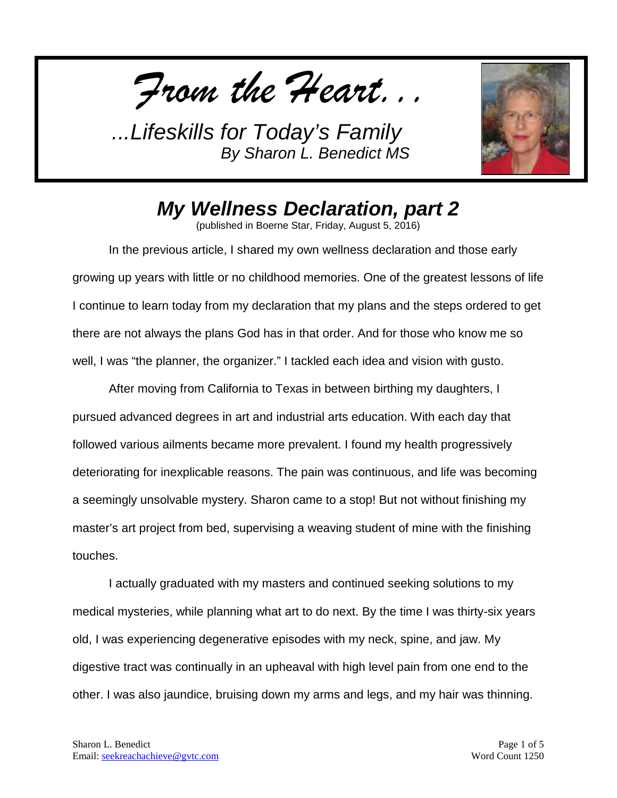*From the Heart...*



*My Wellness Declaration, part 2*

(published in Boerne Star, Friday, August 5, 2016)

In the previous article, I shared my own wellness declaration and those early growing up years with little or no childhood memories. One of the greatest lessons of life I continue to learn today from my declaration that my plans and the steps ordered to get there are not always the plans God has in that order. And for those who know me so well, I was "the planner, the organizer." I tackled each idea and vision with gusto.

After moving from California to Texas in between birthing my daughters, I pursued advanced degrees in art and industrial arts education. With each day that followed various ailments became more prevalent. I found my health progressively deteriorating for inexplicable reasons. The pain was continuous, and life was becoming a seemingly unsolvable mystery. Sharon came to a stop! But not without finishing my master's art project from bed, supervising a weaving student of mine with the finishing touches.

I actually graduated with my masters and continued seeking solutions to my medical mysteries, while planning what art to do next. By the time I was thirty-six years old, I was experiencing degenerative episodes with my neck, spine, and jaw. My digestive tract was continually in an upheaval with high level pain from one end to the other. I was also jaundice, bruising down my arms and legs, and my hair was thinning.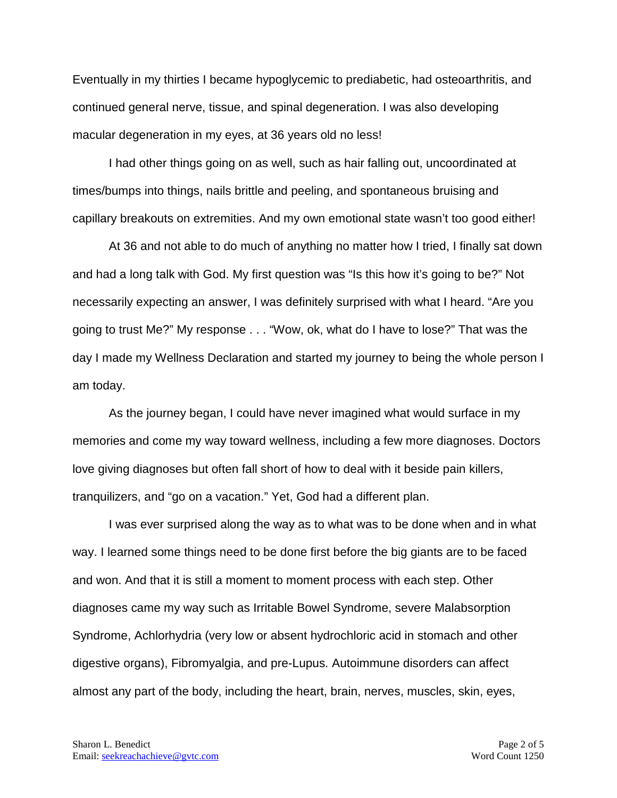Eventually in my thirties I became hypoglycemic to prediabetic, had osteoarthritis, and continued general nerve, tissue, and spinal degeneration. I was also developing macular degeneration in my eyes, at 36 years old no less!

I had other things going on as well, such as hair falling out, uncoordinated at times/bumps into things, nails brittle and peeling, and spontaneous bruising and capillary breakouts on extremities. And my own emotional state wasn't too good either!

At 36 and not able to do much of anything no matter how I tried, I finally sat down and had a long talk with God. My first question was "Is this how it's going to be?" Not necessarily expecting an answer, I was definitely surprised with what I heard. "Are you going to trust Me?" My response . . . "Wow, ok, what do I have to lose?" That was the day I made my Wellness Declaration and started my journey to being the whole person I am today.

As the journey began, I could have never imagined what would surface in my memories and come my way toward wellness, including a few more diagnoses. Doctors love giving diagnoses but often fall short of how to deal with it beside pain killers, tranquilizers, and "go on a vacation." Yet, God had a different plan.

I was ever surprised along the way as to what was to be done when and in what way. I learned some things need to be done first before the big giants are to be faced and won. And that it is still a moment to moment process with each step. Other diagnoses came my way such as Irritable Bowel Syndrome, severe Malabsorption Syndrome, Achlorhydria (very low or absent hydrochloric acid in stomach and other digestive organs), Fibromyalgia, and pre-Lupus. Autoimmune disorders can affect almost any part of the body, including the heart, brain, nerves, muscles, skin, eyes,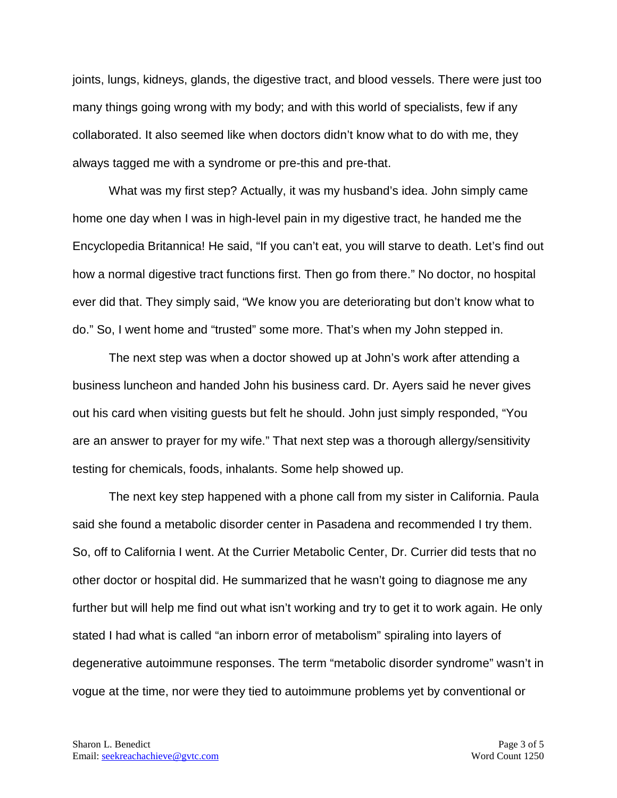joints, lungs, kidneys, glands, the digestive tract, and blood vessels. There were just too many things going wrong with my body; and with this world of specialists, few if any collaborated. It also seemed like when doctors didn't know what to do with me, they always tagged me with a syndrome or pre-this and pre-that.

What was my first step? Actually, it was my husband's idea. John simply came home one day when I was in high-level pain in my digestive tract, he handed me the Encyclopedia Britannica! He said, "If you can't eat, you will starve to death. Let's find out how a normal digestive tract functions first. Then go from there." No doctor, no hospital ever did that. They simply said, "We know you are deteriorating but don't know what to do." So, I went home and "trusted" some more. That's when my John stepped in.

The next step was when a doctor showed up at John's work after attending a business luncheon and handed John his business card. Dr. Ayers said he never gives out his card when visiting guests but felt he should. John just simply responded, "You are an answer to prayer for my wife." That next step was a thorough allergy/sensitivity testing for chemicals, foods, inhalants. Some help showed up.

The next key step happened with a phone call from my sister in California. Paula said she found a metabolic disorder center in Pasadena and recommended I try them. So, off to California I went. At the Currier Metabolic Center, Dr. Currier did tests that no other doctor or hospital did. He summarized that he wasn't going to diagnose me any further but will help me find out what isn't working and try to get it to work again. He only stated I had what is called "an inborn error of metabolism" spiraling into layers of degenerative autoimmune responses. The term "metabolic disorder syndrome" wasn't in vogue at the time, nor were they tied to autoimmune problems yet by conventional or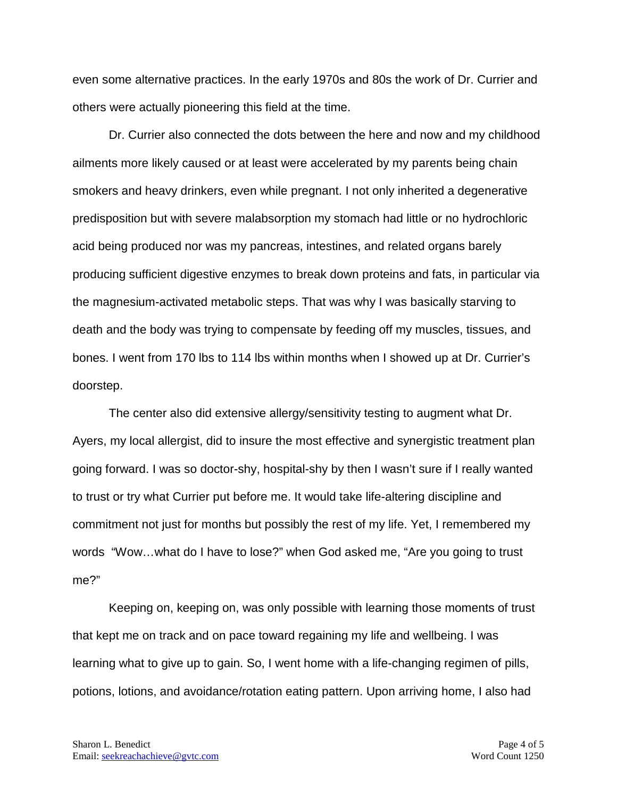even some alternative practices. In the early 1970s and 80s the work of Dr. Currier and others were actually pioneering this field at the time.

Dr. Currier also connected the dots between the here and now and my childhood ailments more likely caused or at least were accelerated by my parents being chain smokers and heavy drinkers, even while pregnant. I not only inherited a degenerative predisposition but with severe malabsorption my stomach had little or no hydrochloric acid being produced nor was my pancreas, intestines, and related organs barely producing sufficient digestive enzymes to break down proteins and fats, in particular via the magnesium-activated metabolic steps. That was why I was basically starving to death and the body was trying to compensate by feeding off my muscles, tissues, and bones. I went from 170 lbs to 114 lbs within months when I showed up at Dr. Currier's doorstep.

The center also did extensive allergy/sensitivity testing to augment what Dr. Ayers, my local allergist, did to insure the most effective and synergistic treatment plan going forward. I was so doctor-shy, hospital-shy by then I wasn't sure if I really wanted to trust or try what Currier put before me. It would take life-altering discipline and commitment not just for months but possibly the rest of my life. Yet, I remembered my words "Wow…what do I have to lose?" when God asked me, "Are you going to trust me?"

Keeping on, keeping on, was only possible with learning those moments of trust that kept me on track and on pace toward regaining my life and wellbeing. I was learning what to give up to gain. So, I went home with a life-changing regimen of pills, potions, lotions, and avoidance/rotation eating pattern. Upon arriving home, I also had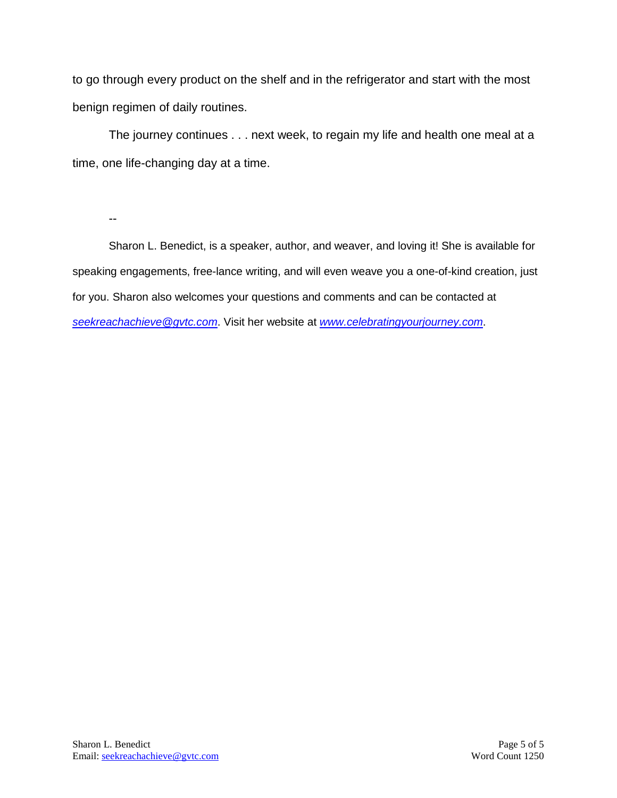to go through every product on the shelf and in the refrigerator and start with the most benign regimen of daily routines.

The journey continues . . . next week, to regain my life and health one meal at a time, one life-changing day at a time.

--

Sharon L. Benedict, is a speaker, author, and weaver, and loving it! She is available for speaking engagements, free-lance writing, and will even weave you a one-of-kind creation, just for you. Sharon also welcomes your questions and comments and can be contacted at *[seekreachachieve@gvtc.com](mailto:seekreachachieve@gvtc.com)*. Visit her website at *[www.celebratingyourjourney.com](http://www.celebratingyourjourney.com/)*.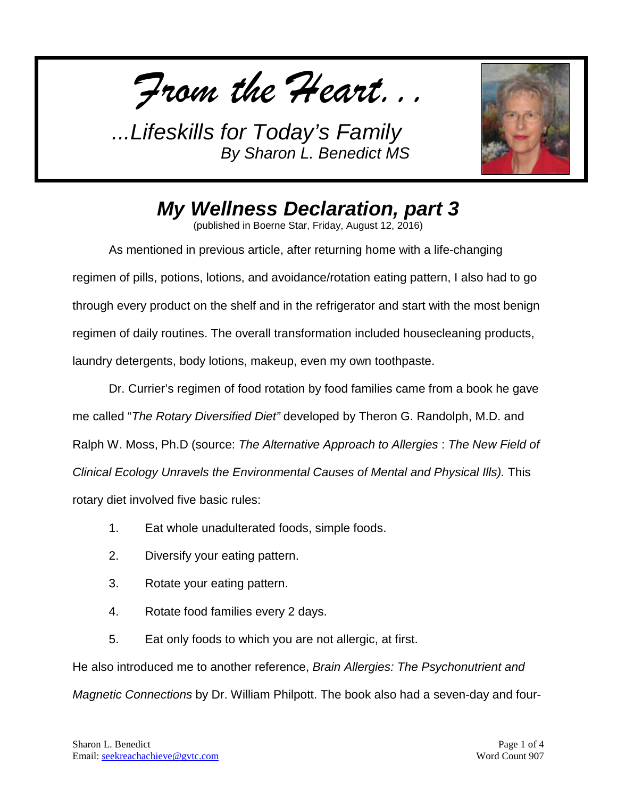*From the Heart...*



*My Wellness Declaration, part 3*

(published in Boerne Star, Friday, August 12, 2016)

As mentioned in previous article, after returning home with a life-changing regimen of pills, potions, lotions, and avoidance/rotation eating pattern, I also had to go through every product on the shelf and in the refrigerator and start with the most benign regimen of daily routines. The overall transformation included housecleaning products, laundry detergents, body lotions, makeup, even my own toothpaste.

Dr. Currier's regimen of food rotation by food families came from a book he gave me called "*The Rotary Diversified Diet"* developed by Theron G. Randolph, M.D. and Ralph W. Moss, Ph.D (source: *The Alternative Approach to Allergies* : *The New Field of Clinical Ecology Unravels the Environmental Causes of Mental and Physical Ills).* This rotary diet involved five basic rules:

- 1. Eat whole unadulterated foods, simple foods.
- 2. Diversify your eating pattern.
- 3. Rotate your eating pattern.
- 4. Rotate food families every 2 days.
- 5. Eat only foods to which you are not allergic, at first.

He also introduced me to another reference, *Brain Allergies: The Psychonutrient and Magnetic Connections* by Dr. William Philpott. The book also had a seven-day and four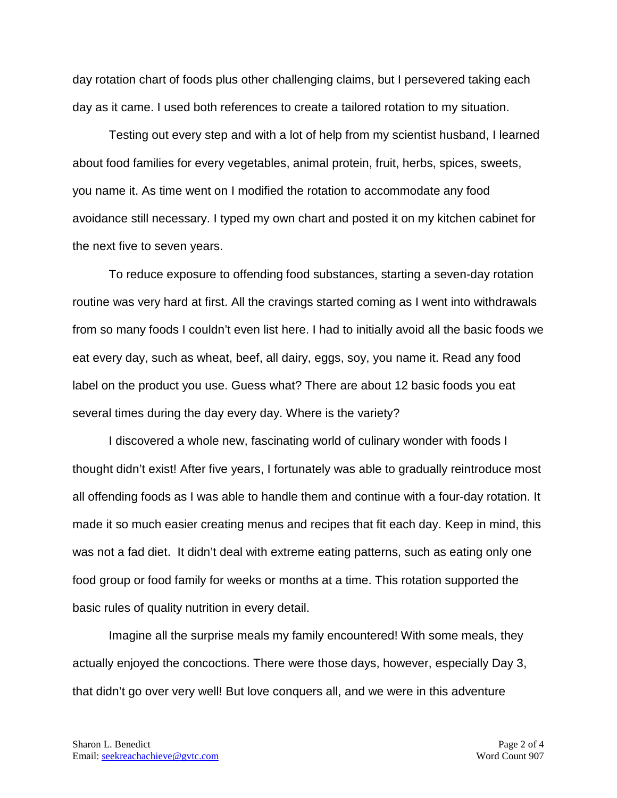day rotation chart of foods plus other challenging claims, but I persevered taking each day as it came. I used both references to create a tailored rotation to my situation.

Testing out every step and with a lot of help from my scientist husband, I learned about food families for every vegetables, animal protein, fruit, herbs, spices, sweets, you name it. As time went on I modified the rotation to accommodate any food avoidance still necessary. I typed my own chart and posted it on my kitchen cabinet for the next five to seven years.

To reduce exposure to offending food substances, starting a seven-day rotation routine was very hard at first. All the cravings started coming as I went into withdrawals from so many foods I couldn't even list here. I had to initially avoid all the basic foods we eat every day, such as wheat, beef, all dairy, eggs, soy, you name it. Read any food label on the product you use. Guess what? There are about 12 basic foods you eat several times during the day every day. Where is the variety?

I discovered a whole new, fascinating world of culinary wonder with foods I thought didn't exist! After five years, I fortunately was able to gradually reintroduce most all offending foods as I was able to handle them and continue with a four-day rotation. It made it so much easier creating menus and recipes that fit each day. Keep in mind, this was not a fad diet. It didn't deal with extreme eating patterns, such as eating only one food group or food family for weeks or months at a time. This rotation supported the basic rules of quality nutrition in every detail.

Imagine all the surprise meals my family encountered! With some meals, they actually enjoyed the concoctions. There were those days, however, especially Day 3, that didn't go over very well! But love conquers all, and we were in this adventure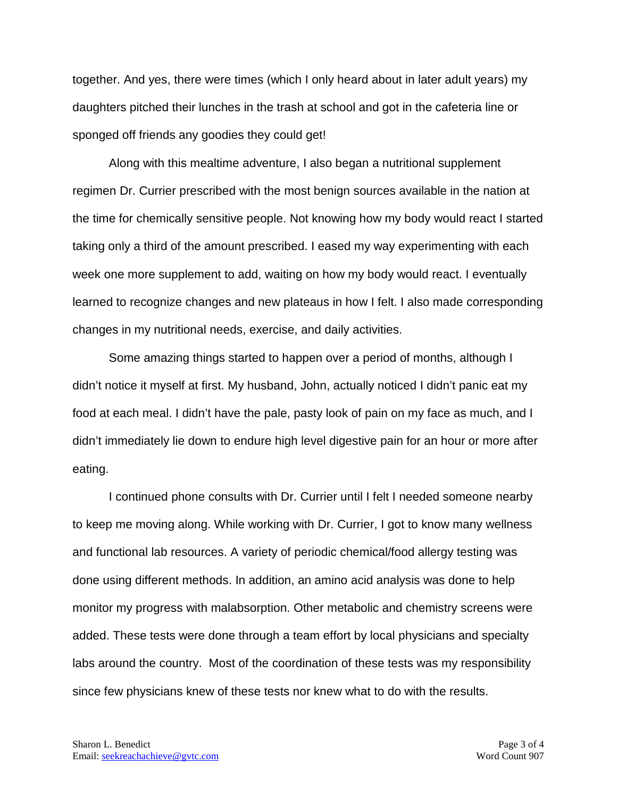together. And yes, there were times (which I only heard about in later adult years) my daughters pitched their lunches in the trash at school and got in the cafeteria line or sponged off friends any goodies they could get!

Along with this mealtime adventure, I also began a nutritional supplement regimen Dr. Currier prescribed with the most benign sources available in the nation at the time for chemically sensitive people. Not knowing how my body would react I started taking only a third of the amount prescribed. I eased my way experimenting with each week one more supplement to add, waiting on how my body would react. I eventually learned to recognize changes and new plateaus in how I felt. I also made corresponding changes in my nutritional needs, exercise, and daily activities.

Some amazing things started to happen over a period of months, although I didn't notice it myself at first. My husband, John, actually noticed I didn't panic eat my food at each meal. I didn't have the pale, pasty look of pain on my face as much, and I didn't immediately lie down to endure high level digestive pain for an hour or more after eating.

I continued phone consults with Dr. Currier until I felt I needed someone nearby to keep me moving along. While working with Dr. Currier, I got to know many wellness and functional lab resources. A variety of periodic chemical/food allergy testing was done using different methods. In addition, an amino acid analysis was done to help monitor my progress with malabsorption. Other metabolic and chemistry screens were added. These tests were done through a team effort by local physicians and specialty labs around the country. Most of the coordination of these tests was my responsibility since few physicians knew of these tests nor knew what to do with the results.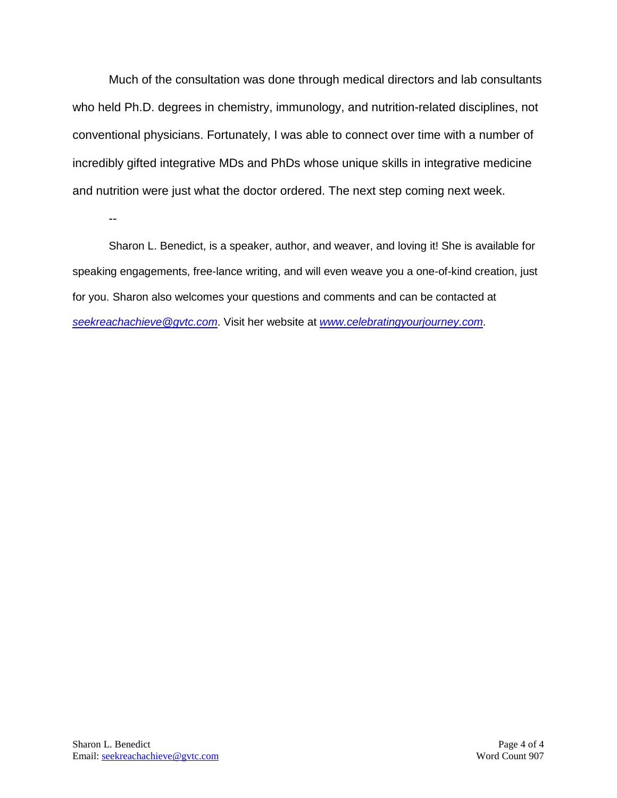Much of the consultation was done through medical directors and lab consultants who held Ph.D. degrees in chemistry, immunology, and nutrition-related disciplines, not conventional physicians. Fortunately, I was able to connect over time with a number of incredibly gifted integrative MDs and PhDs whose unique skills in integrative medicine and nutrition were just what the doctor ordered. The next step coming next week.

--

Sharon L. Benedict, is a speaker, author, and weaver, and loving it! She is available for speaking engagements, free-lance writing, and will even weave you a one-of-kind creation, just for you. Sharon also welcomes your questions and comments and can be contacted at *[seekreachachieve@gvtc.com](mailto:seekreachachieve@gvtc.com)*. Visit her website at *[www.celebratingyourjourney.com](http://www.celebratingyourjourney.com/)*.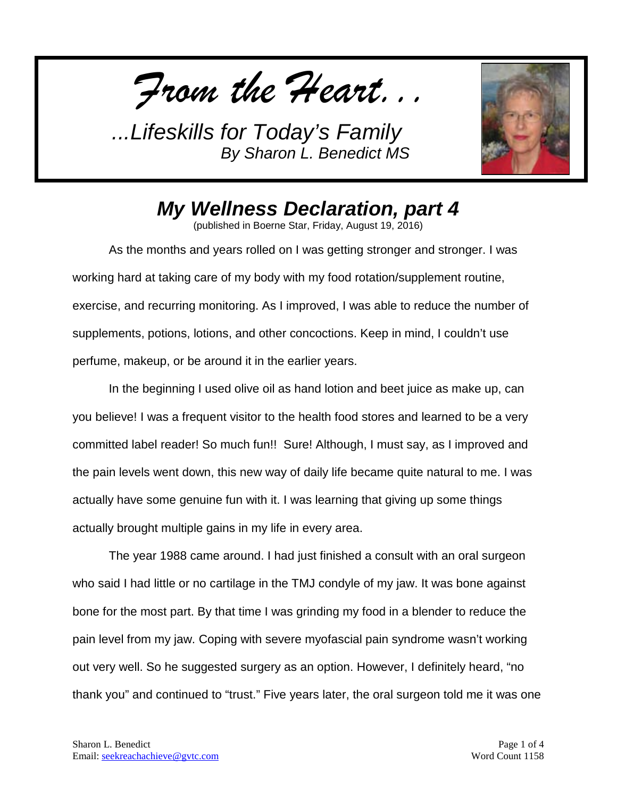*From the Heart...*



*My Wellness Declaration, part 4*

(published in Boerne Star, Friday, August 19, 2016)

As the months and years rolled on I was getting stronger and stronger. I was working hard at taking care of my body with my food rotation/supplement routine, exercise, and recurring monitoring. As I improved, I was able to reduce the number of supplements, potions, lotions, and other concoctions. Keep in mind, I couldn't use perfume, makeup, or be around it in the earlier years.

In the beginning I used olive oil as hand lotion and beet juice as make up, can you believe! I was a frequent visitor to the health food stores and learned to be a very committed label reader! So much fun!! Sure! Although, I must say, as I improved and the pain levels went down, this new way of daily life became quite natural to me. I was actually have some genuine fun with it. I was learning that giving up some things actually brought multiple gains in my life in every area.

The year 1988 came around. I had just finished a consult with an oral surgeon who said I had little or no cartilage in the TMJ condyle of my jaw. It was bone against bone for the most part. By that time I was grinding my food in a blender to reduce the pain level from my jaw. Coping with severe myofascial pain syndrome wasn't working out very well. So he suggested surgery as an option. However, I definitely heard, "no thank you" and continued to "trust." Five years later, the oral surgeon told me it was one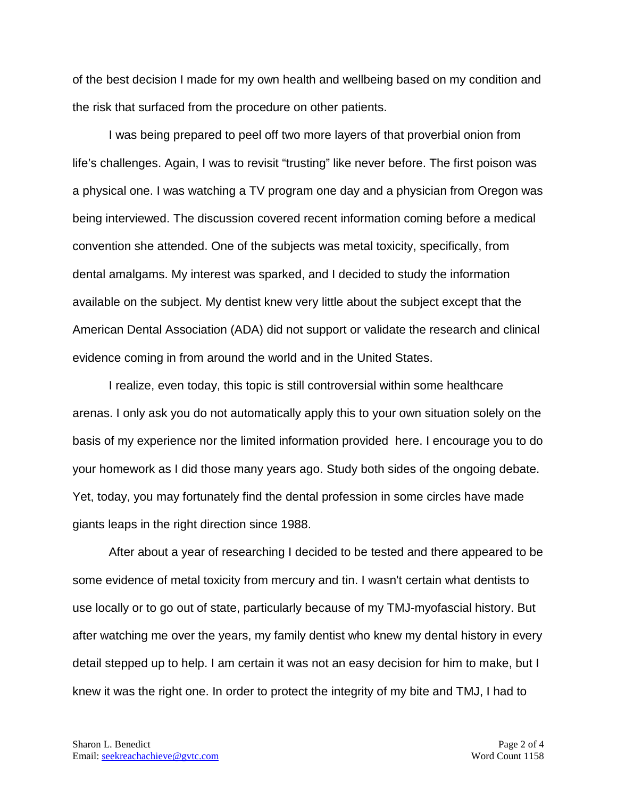of the best decision I made for my own health and wellbeing based on my condition and the risk that surfaced from the procedure on other patients.

I was being prepared to peel off two more layers of that proverbial onion from life's challenges. Again, I was to revisit "trusting" like never before. The first poison was a physical one. I was watching a TV program one day and a physician from Oregon was being interviewed. The discussion covered recent information coming before a medical convention she attended. One of the subjects was metal toxicity, specifically, from dental amalgams. My interest was sparked, and I decided to study the information available on the subject. My dentist knew very little about the subject except that the American Dental Association (ADA) did not support or validate the research and clinical evidence coming in from around the world and in the United States.

I realize, even today, this topic is still controversial within some healthcare arenas. I only ask you do not automatically apply this to your own situation solely on the basis of my experience nor the limited information provided here. I encourage you to do your homework as I did those many years ago. Study both sides of the ongoing debate. Yet, today, you may fortunately find the dental profession in some circles have made giants leaps in the right direction since 1988.

After about a year of researching I decided to be tested and there appeared to be some evidence of metal toxicity from mercury and tin. I wasn't certain what dentists to use locally or to go out of state, particularly because of my TMJ-myofascial history. But after watching me over the years, my family dentist who knew my dental history in every detail stepped up to help. I am certain it was not an easy decision for him to make, but I knew it was the right one. In order to protect the integrity of my bite and TMJ, I had to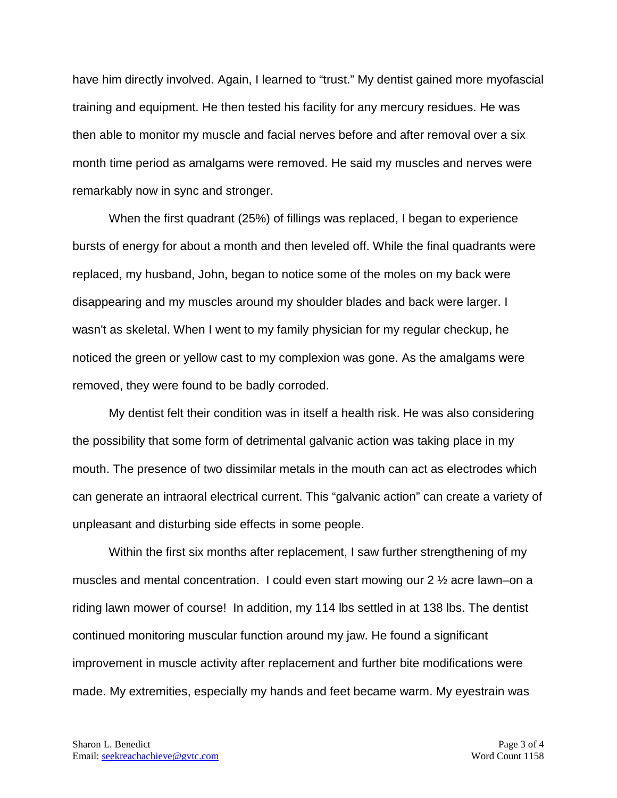have him directly involved. Again, I learned to "trust." My dentist gained more myofascial training and equipment. He then tested his facility for any mercury residues. He was then able to monitor my muscle and facial nerves before and after removal over a six month time period as amalgams were removed. He said my muscles and nerves were remarkably now in sync and stronger.

When the first quadrant (25%) of fillings was replaced, I began to experience bursts of energy for about a month and then leveled off. While the final quadrants were replaced, my husband, John, began to notice some of the moles on my back were disappearing and my muscles around my shoulder blades and back were larger. I wasn't as skeletal. When I went to my family physician for my regular checkup, he noticed the green or yellow cast to my complexion was gone. As the amalgams were removed, they were found to be badly corroded.

My dentist felt their condition was in itself a health risk. He was also considering the possibility that some form of detrimental galvanic action was taking place in my mouth. The presence of two dissimilar metals in the mouth can act as electrodes which can generate an intraoral electrical current. This "galvanic action" can create a variety of unpleasant and disturbing side effects in some people.

Within the first six months after replacement, I saw further strengthening of my muscles and mental concentration. I could even start mowing our 2 ½ acre lawn–on a riding lawn mower of course! In addition, my 114 lbs settled in at 138 lbs. The dentist continued monitoring muscular function around my jaw. He found a significant improvement in muscle activity after replacement and further bite modifications were made. My extremities, especially my hands and feet became warm. My eyestrain was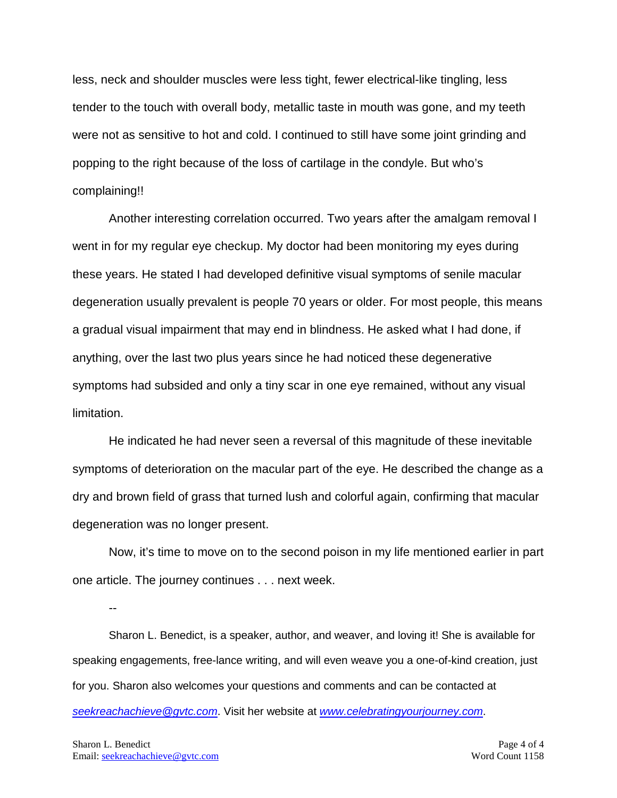less, neck and shoulder muscles were less tight, fewer electrical-like tingling, less tender to the touch with overall body, metallic taste in mouth was gone, and my teeth were not as sensitive to hot and cold. I continued to still have some joint grinding and popping to the right because of the loss of cartilage in the condyle. But who's complaining!!

Another interesting correlation occurred. Two years after the amalgam removal I went in for my regular eye checkup. My doctor had been monitoring my eyes during these years. He stated I had developed definitive visual symptoms of senile macular degeneration usually prevalent is people 70 years or older. For most people, this means a gradual visual impairment that may end in blindness. He asked what I had done, if anything, over the last two plus years since he had noticed these degenerative symptoms had subsided and only a tiny scar in one eye remained, without any visual limitation.

He indicated he had never seen a reversal of this magnitude of these inevitable symptoms of deterioration on the macular part of the eye. He described the change as a dry and brown field of grass that turned lush and colorful again, confirming that macular degeneration was no longer present.

Now, it's time to move on to the second poison in my life mentioned earlier in part one article. The journey continues . . . next week.

--

Sharon L. Benedict, is a speaker, author, and weaver, and loving it! She is available for speaking engagements, free-lance writing, and will even weave you a one-of-kind creation, just for you. Sharon also welcomes your questions and comments and can be contacted at *[seekreachachieve@gvtc.com](mailto:seekreachachieve@gvtc.com)*. Visit her website at *[www.celebratingyourjourney.com](http://www.celebratingyourjourney.com/)*.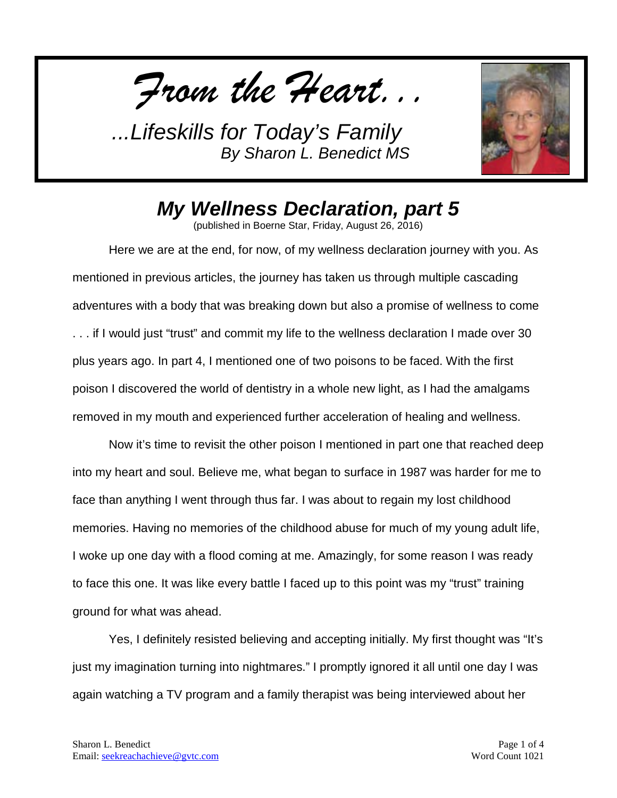*From the Heart...*



## *My Wellness Declaration, part 5*

(published in Boerne Star, Friday, August 26, 2016)

Here we are at the end, for now, of my wellness declaration journey with you. As mentioned in previous articles, the journey has taken us through multiple cascading adventures with a body that was breaking down but also a promise of wellness to come . . . if I would just "trust" and commit my life to the wellness declaration I made over 30 plus years ago. In part 4, I mentioned one of two poisons to be faced. With the first poison I discovered the world of dentistry in a whole new light, as I had the amalgams removed in my mouth and experienced further acceleration of healing and wellness.

Now it's time to revisit the other poison I mentioned in part one that reached deep into my heart and soul. Believe me, what began to surface in 1987 was harder for me to face than anything I went through thus far. I was about to regain my lost childhood memories. Having no memories of the childhood abuse for much of my young adult life, I woke up one day with a flood coming at me. Amazingly, for some reason I was ready to face this one. It was like every battle I faced up to this point was my "trust" training ground for what was ahead.

Yes, I definitely resisted believing and accepting initially. My first thought was "It's just my imagination turning into nightmares." I promptly ignored it all until one day I was again watching a TV program and a family therapist was being interviewed about her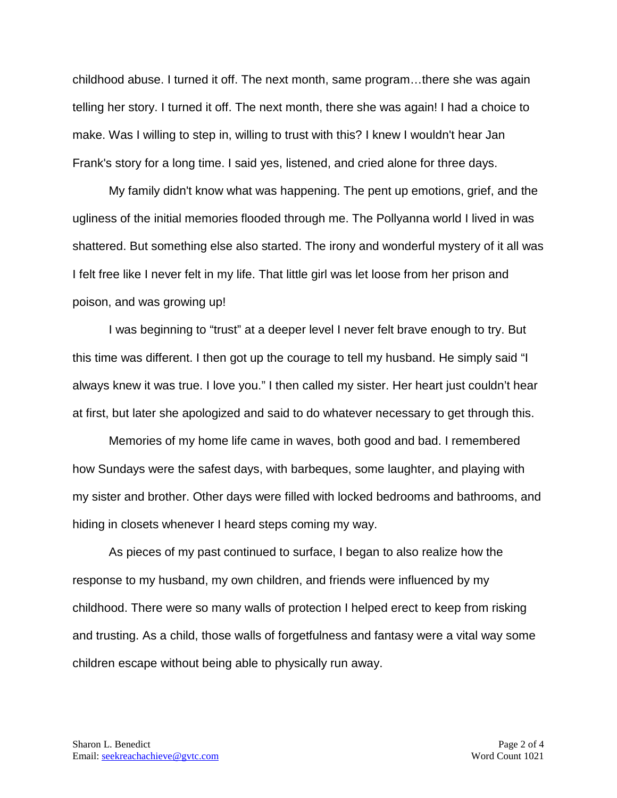childhood abuse. I turned it off. The next month, same program…there she was again telling her story. I turned it off. The next month, there she was again! I had a choice to make. Was I willing to step in, willing to trust with this? I knew I wouldn't hear Jan Frank's story for a long time. I said yes, listened, and cried alone for three days.

My family didn't know what was happening. The pent up emotions, grief, and the ugliness of the initial memories flooded through me. The Pollyanna world I lived in was shattered. But something else also started. The irony and wonderful mystery of it all was I felt free like I never felt in my life. That little girl was let loose from her prison and poison, and was growing up!

I was beginning to "trust" at a deeper level I never felt brave enough to try. But this time was different. I then got up the courage to tell my husband. He simply said "I always knew it was true. I love you." I then called my sister. Her heart just couldn't hear at first, but later she apologized and said to do whatever necessary to get through this.

Memories of my home life came in waves, both good and bad. I remembered how Sundays were the safest days, with barbeques, some laughter, and playing with my sister and brother. Other days were filled with locked bedrooms and bathrooms, and hiding in closets whenever I heard steps coming my way.

As pieces of my past continued to surface, I began to also realize how the response to my husband, my own children, and friends were influenced by my childhood. There were so many walls of protection I helped erect to keep from risking and trusting. As a child, those walls of forgetfulness and fantasy were a vital way some children escape without being able to physically run away.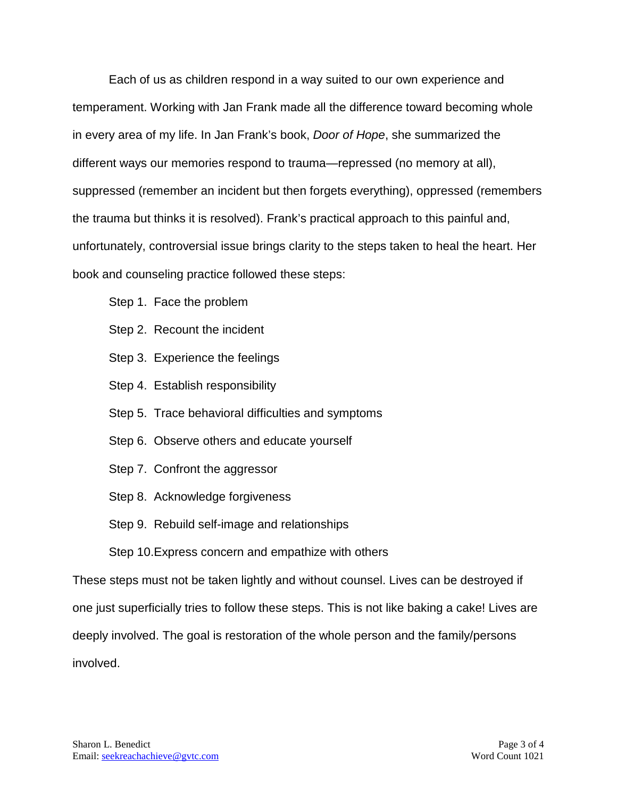Each of us as children respond in a way suited to our own experience and temperament. Working with Jan Frank made all the difference toward becoming whole in every area of my life. In Jan Frank's book, *Door of Hope*, she summarized the different ways our memories respond to trauma—repressed (no memory at all), suppressed (remember an incident but then forgets everything), oppressed (remembers the trauma but thinks it is resolved). Frank's practical approach to this painful and, unfortunately, controversial issue brings clarity to the steps taken to heal the heart. Her book and counseling practice followed these steps:

- Step 1. Face the problem
- Step 2. Recount the incident
- Step 3. Experience the feelings
- Step 4. Establish responsibility
- Step 5. Trace behavioral difficulties and symptoms
- Step 6. Observe others and educate yourself
- Step 7. Confront the aggressor
- Step 8. Acknowledge forgiveness
- Step 9. Rebuild self-image and relationships

Step 10.Express concern and empathize with others

These steps must not be taken lightly and without counsel. Lives can be destroyed if one just superficially tries to follow these steps. This is not like baking a cake! Lives are deeply involved. The goal is restoration of the whole person and the family/persons involved.